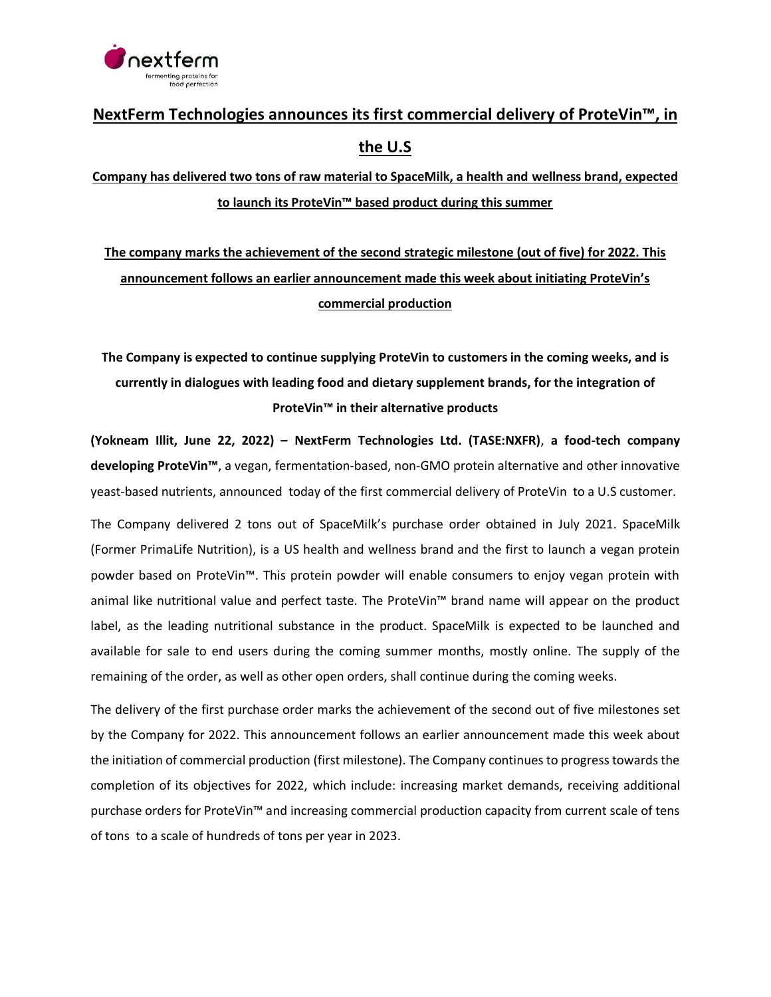

## **NextFerm Technologies announces its first commercial delivery of ProteVin™, in the U.S**

**Company has delivered two tons of raw material to SpaceMilk, a health and wellness brand, expected to launch its ProteVin™ based product during this summer**

**The company marks the achievement of the second strategic milestone (out of five) for 2022. This announcement follows an earlier announcement made this week about initiating ProteVin's commercial production**

**The Company is expected to continue supplying ProteVin to customers in the coming weeks, and is currently in dialogues with leading food and dietary supplement brands, for the integration of ProteVin™ in their alternative products**

**(Yokneam Illit, June 22, 2022) – NextFerm Technologies Ltd. (TASE:NXFR)**, **a food-tech company developing ProteVin™**, a vegan, fermentation-based, non-GMO protein alternative and other innovative yeast-based nutrients, announced today of the first commercial delivery of ProteVin to a U.S customer.

The Company delivered 2 tons out of SpaceMilk's purchase order obtained in July 2021. SpaceMilk (Former PrimaLife Nutrition), is a US health and wellness brand and the first to launch a vegan protein powder based on ProteVin™. This protein powder will enable consumers to enjoy vegan protein with animal like nutritional value and perfect taste. The ProteVin™ brand name will appear on the product label, as the leading nutritional substance in the product. SpaceMilk is expected to be launched and available for sale to end users during the coming summer months, mostly online. The supply of the remaining of the order, as well as other open orders, shall continue during the coming weeks.

The delivery of the first purchase order marks the achievement of the second out of five milestones set by the Company for 2022. This announcement follows an earlier announcement made this week about the initiation of commercial production (first milestone). The Company continues to progress towards the completion of its objectives for 2022, which include: increasing market demands, receiving additional purchase orders for ProteVin™ and increasing commercial production capacity from current scale of tens of tons to a scale of hundreds of tons per year in 2023.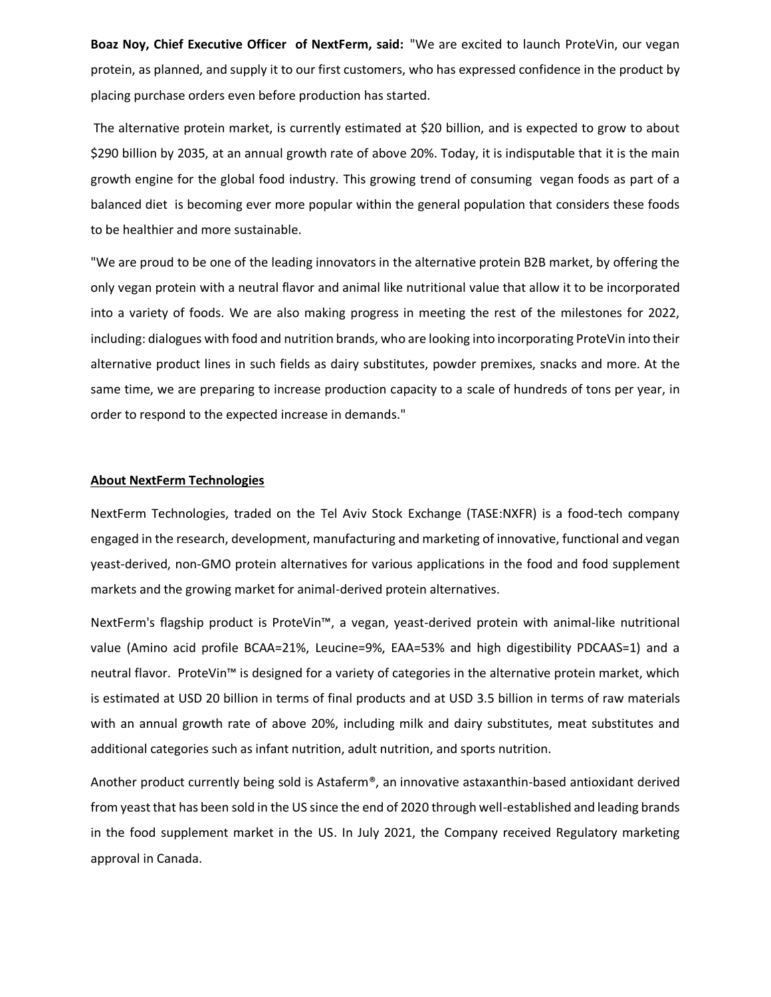**Boaz Noy, Chief Executive Officer of NextFerm, said:** "We are excited to launch ProteVin, our vegan protein, as planned, and supply it to our first customers, who has expressed confidence in the product by placing purchase orders even before production has started.

The alternative protein market, is currently estimated at \$20 billion, and is expected to grow to about \$290 billion by 2035, at an annual growth rate of above 20%. Today, it is indisputable that it is the main growth engine for the global food industry. This growing trend of consuming vegan foods as part of a balanced diet is becoming ever more popular within the general population that considers these foods to be healthier and more sustainable.

"We are proud to be one of the leading innovators in the alternative protein B2B market, by offering the only vegan protein with a neutral flavor and animal like nutritional value that allow it to be incorporated into a variety of foods. We are also making progress in meeting the rest of the milestones for 2022, including: dialogues with food and nutrition brands, who are looking into incorporating ProteVin into their alternative product lines in such fields as dairy substitutes, powder premixes, snacks and more. At the same time, we are preparing to increase production capacity to a scale of hundreds of tons per year, in order to respond to the expected increase in demands."

## **About NextFerm Technologies**

NextFerm Technologies, traded on the Tel Aviv Stock Exchange (TASE:NXFR) is a food-tech company engaged in the research, development, manufacturing and marketing of innovative, functional and vegan yeast-derived, non-GMO protein alternatives for various applications in the food and food supplement markets and the growing market for animal-derived protein alternatives.

NextFerm's flagship product is ProteVin™, a vegan, yeast-derived protein with animal-like nutritional value (Amino acid profile BCAA=21%, Leucine=9%, EAA=53% and high digestibility PDCAAS=1) and a neutral flavor. ProteVin™ is designed for a variety of categories in the alternative protein market, which is estimated at USD 20 billion in terms of final products and at USD 3.5 billion in terms of raw materials with an annual growth rate of above 20%, including milk and dairy substitutes, meat substitutes and additional categories such as infant nutrition, adult nutrition, and sports nutrition.

Another product currently being sold is Astaferm®, an innovative astaxanthin-based antioxidant derived from yeast that has been sold in the US since the end of 2020 through well-established and leading brands in the food supplement market in the US. In July 2021, the Company received Regulatory marketing approval in Canada.